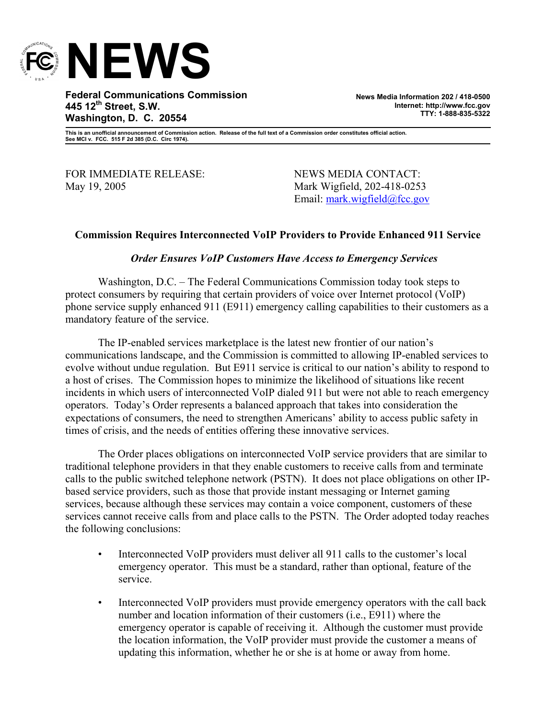

**Federal Communications Commission 445 12th Street, S.W. Washington, D. C. 20554** 

**News Media Information 202 / 418-0500 Internet: http://www.fcc.gov TTY: 1-888-835-5322**

**This is an unofficial announcement of Commission action. Release of the full text of a Commission order constitutes official action. See MCI v. FCC. 515 F 2d 385 (D.C. Circ 1974).** 

FOR IMMEDIATE RELEASE: NEWS MEDIA CONTACT: May 19, 2005 Mark Wigfield, 202-418-0253

Email: mark.wigfield@fcc.gov

## **Commission Requires Interconnected VoIP Providers to Provide Enhanced 911 Service**

## *Order Ensures VoIP Customers Have Access to Emergency Services*

Washington, D.C. – The Federal Communications Commission today took steps to protect consumers by requiring that certain providers of voice over Internet protocol (VoIP) phone service supply enhanced 911 (E911) emergency calling capabilities to their customers as a mandatory feature of the service.

The IP-enabled services marketplace is the latest new frontier of our nation's communications landscape, and the Commission is committed to allowing IP-enabled services to evolve without undue regulation. But E911 service is critical to our nation's ability to respond to a host of crises. The Commission hopes to minimize the likelihood of situations like recent incidents in which users of interconnected VoIP dialed 911 but were not able to reach emergency operators. Today's Order represents a balanced approach that takes into consideration the expectations of consumers, the need to strengthen Americans' ability to access public safety in times of crisis, and the needs of entities offering these innovative services.

The Order places obligations on interconnected VoIP service providers that are similar to traditional telephone providers in that they enable customers to receive calls from and terminate calls to the public switched telephone network (PSTN). It does not place obligations on other IPbased service providers, such as those that provide instant messaging or Internet gaming services, because although these services may contain a voice component, customers of these services cannot receive calls from and place calls to the PSTN. The Order adopted today reaches the following conclusions:

- Interconnected VoIP providers must deliver all 911 calls to the customer's local emergency operator. This must be a standard, rather than optional, feature of the service.
- Interconnected VoIP providers must provide emergency operators with the call back number and location information of their customers (i.e., E911) where the emergency operator is capable of receiving it. Although the customer must provide the location information, the VoIP provider must provide the customer a means of updating this information, whether he or she is at home or away from home.